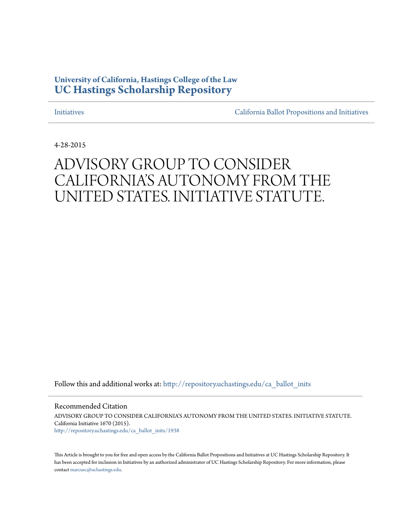## **University of California, Hastings College of the Law [UC Hastings Scholarship Repository](http://repository.uchastings.edu?utm_source=repository.uchastings.edu%2Fca_ballot_inits%2F1938&utm_medium=PDF&utm_campaign=PDFCoverPages)**

[Initiatives](http://repository.uchastings.edu/ca_ballot_inits?utm_source=repository.uchastings.edu%2Fca_ballot_inits%2F1938&utm_medium=PDF&utm_campaign=PDFCoverPages) [California Ballot Propositions and Initiatives](http://repository.uchastings.edu/ca_ballots?utm_source=repository.uchastings.edu%2Fca_ballot_inits%2F1938&utm_medium=PDF&utm_campaign=PDFCoverPages)

4-28-2015

# ADVISORY GROUP TO CONSIDER CALIFORNIA'S AUTONOMY FROM THE UNITED STATES. INITIATIVE STATUTE.

Follow this and additional works at: [http://repository.uchastings.edu/ca\\_ballot\\_inits](http://repository.uchastings.edu/ca_ballot_inits?utm_source=repository.uchastings.edu%2Fca_ballot_inits%2F1938&utm_medium=PDF&utm_campaign=PDFCoverPages)

Recommended Citation

ADVISORY GROUP TO CONSIDER CALIFORNIA'S AUTONOMY FROM THE UNITED STATES. INITIATIVE STATUTE. California Initiative 1670 (2015). [http://repository.uchastings.edu/ca\\_ballot\\_inits/1938](http://repository.uchastings.edu/ca_ballot_inits/1938?utm_source=repository.uchastings.edu%2Fca_ballot_inits%2F1938&utm_medium=PDF&utm_campaign=PDFCoverPages)

This Article is brought to you for free and open access by the California Ballot Propositions and Initiatives at UC Hastings Scholarship Repository. It has been accepted for inclusion in Initiatives by an authorized administrator of UC Hastings Scholarship Repository. For more information, please contact [marcusc@uchastings.edu](mailto:marcusc@uchastings.edu).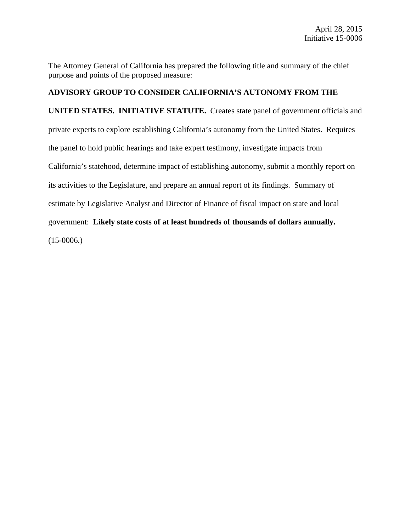The Attorney General of California has prepared the following title and summary of the chief purpose and points of the proposed measure:

### **ADVISORY GROUP TO CONSIDER CALIFORNIA'S AUTONOMY FROM THE**

**UNITED STATES. INITIATIVE STATUTE.** Creates state panel of government officials and private experts to explore establishing California's autonomy from the United States. Requires the panel to hold public hearings and take expert testimony, investigate impacts from California's statehood, determine impact of establishing autonomy, submit a monthly report on its activities to the Legislature, and prepare an annual report of its findings. Summary of estimate by Legislative Analyst and Director of Finance of fiscal impact on state and local government: **Likely state costs of at least hundreds of thousands of dollars annually.**  $(15-0006.)$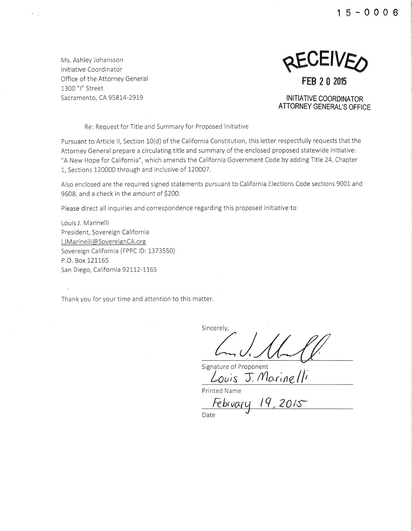**1 5 - 0 0 0 6** 

Ms. Ashley Johansson Initiative Coordinator Office of the Attorney General 1300 "I" Street Sacramento, CA 95814-2919

 $\mathcal{L}(\mathbf{x})$  ,

KEAFINED **FEB 2 0 2015** 

**INITIATIVE COORDINATOR ATIORNEY GENERAL'S OFFICE** 

Re: Request for Title and Summary for Proposed Initiative

Pursuant to Article II, Section 10(d) of the California Constitution, this letter respectfully requests that the Attorney General prepare a circulating title and summary of the enclosed proposed statewide initiative: "A New Hope for California", which amends the California Government Code by adding Title 24, Chapter 1, Sections 120000 through and inclusive of 120007.

Also enclosed are the required signed statements pursuant to California Elections Code sections 9001 and 9608, and a check in the amount of \$200.

Please direct all inquiries and correspondence regarding this proposed initiative to:

Louis J. Marinelli President, Sovereign California U Marinelli@ SovereignCA.org Sovereign California (FPPC ID: 1373550) P.O. Box 121165 San Diego, California 92112-1165

 $\bar{t}$ 

Thank you for your time and attention to this matter.

Sincerely,

Signature of Proponent **Louis J. ('(/o.r;fle/** *F* 

Printed Name

 $Febrvarq$  19, 2015

Date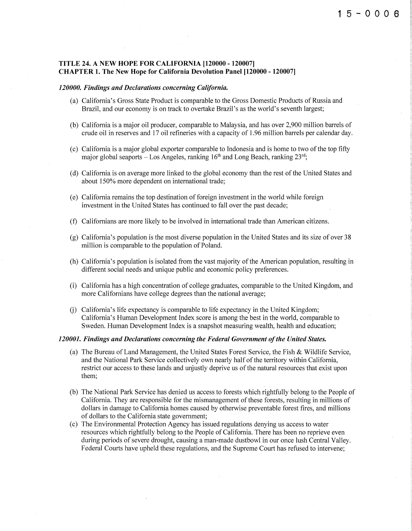#### TITLE 24. A NEW HOPE FOR CALIFORNIA [120000 - 120007] CHAPTER 1. The New Hope for California Devolution Panel [120000- 120007]

#### *120000. Findings and Declarations concerning California.*

- (a) California's Gross State Product is comparable to the Gross Domestic Products of Russia and Brazil, and our economy is on track to overtake Brazil's as the world's seventh largest;
- (b) California is a major oil producer, comparable to Malaysia, and has over 2,900 million barrels of crude oil in reserves and 17 oil refineries with a capacity of 1.96 million barrels per calendar day.
- $(c)$  California is a major global exporter comparable to Indonesia and is home to two of the top fifty major global seaports - Los Angeles, ranking  $16<sup>th</sup>$  and Long Beach, ranking  $23<sup>rd</sup>$ ;
- (d) California is on average more linked to the global economy than the rest of the United States and about 150% more dependent on international trade;
- (e) California remains the top destination of foreign investment in the world while foreign investment in the United States has continued to fall over the past decade;
- (f) Californians are more likely to be involved in international trade than American citizens.
- (g) California's population is the most diverse population in the United States and its size of over 38 million is comparable to the population of Poland.
- (h) California's population is isolated from the vast majority of the American population, resulting in different social needs and unique public and economic policy preferences.
- (i) California has a high concentration of college graduates, comparable to the United Kingdom, and more Californians have college degrees than the national average;
- $(i)$  California's life expectancy is comparable to life expectancy in the United Kingdom; California's Human Development Index score is among the best in the world, comparable to Sweden. Human Development Index is a snapshot measuring wealth, health and education;

#### *120001. Findings and Declarations concerning the Federal Government of the United States.*

- (a) The Bureau of Land Management, the United States Forest Service, the Fish & Wildlife Service, and the National Park Service collectively own nearly half of the territory within California, restrict our access to these lands and unjustly deprive us of the natural resources that exist upon them;
- (b) The National Park Service has denied us access to forests which rightfully belong to the People of California. They are responsible for the mismanagement of these forests, resulting in millions of dollars in damage to California homes caused by otherwise preventable forest fires, and millions of dollars to the California state government;
- (c) The Environmental Protection Agency has issued regulations denying us access to water resources which rightfully belong to the People of California. There has been no reprieve even during periods of severe drought, causing a man-made dustbowl in our once lush Central Valley. Federal Courts have upheld these regulations, and the Supreme Court has refused to intervene;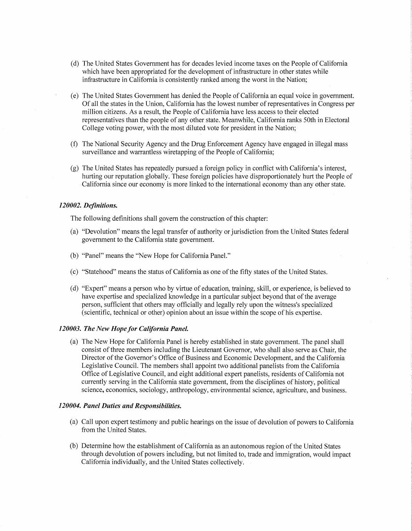- (d) The United States Government has for decades levied income taxes on the People of California which have been appropriated for the development of infrastructure in other states while infrastructure in California is consistently ranked among the worst in the Nation;
- (e) The United States Government has denied the People of California an equal voice in government. Of all the states in the Union, California has the lowest number of representatives in Congress per million citizens. As a result, the People of California have less access to their elected representatives than the people of any other state. Meanwhile, California ranks 50th in Electoral College voting power, with the most diluted vote for president in the Nation;
- (f) The National Security Agency and the Drug Enforcement Agency have engaged in illegal mass surveillance and warrantless wiretapping of the People of California;
- (g) The United States has repeatedly pursued a foreign policy in conflict with California's interest, hurting our reputation globally. These foreign policies have disproportionately hurt the People of California since our economy is more linked to the international economy than any other state.

#### *120002. Definitions.*

The following definitions shall govern the construction of this chapter:

- (a) "Devolution" means the legal transfer of authority or jurisdiction from the United States federal government to the California state government.
- (b) "Panel" means the "New Hope for California Panel."
- (c) "Statehood" means the status of California as one of the fifty states of the United States.
- (d) "Expert" means a person who by virtue of education, training, skill, or experience, is believed to have expertise and specialized knowledge in a particular subject beyond that of the average person, sufficient that others may officially and legally rely upon the witness's specialized (scientific, technical or other) opinion about an issue within the scope of his expertise.

#### *120003. The New Hope for California Panel.*

(a) The New Hope for California Panel is hereby established in state government. The panel shall consist of three members including the Lieutenant Governor, who shall also serve as Chair, the Director ofthe Governor's Office of Business and Economic Development, and the California Legislative Council. The members shall appoint two additional panelists from the California Office of Legislative Council, and eight additional expert panelists, residents of California not currently serving in the California state government, from the disciplines of history, political science, economics, sociology, anthropology, environmental science, agriculture, and business.

#### *120004. Panel Duties and Responsibilities.*

- (a) Call upon expert testimony and public hearings on the issue of devolution of powers to California from the United States.
- (b) Determine how the establishment of California as an autonomous region ofthe United States through devolution of powers including, but not limited to, trade and immigration, would impact California individually, and the United States collectively.